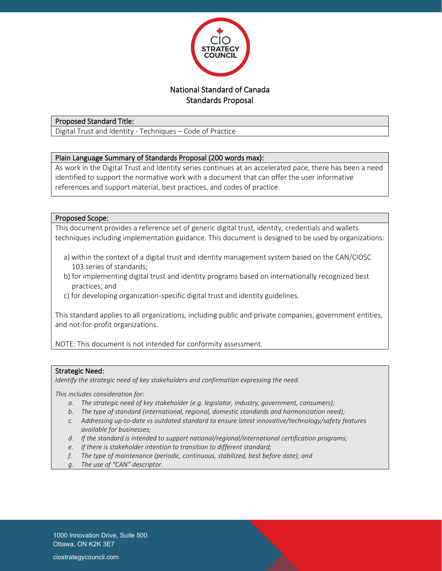

# Standards Proposal

# Proposed Standard Title:

Digital Trust and Identity - Techniques – Code of Practice

# Plain Language Summary of Standards Proposal (200 words max):

As work in the Digital Trust and Identity series continues at an accelerated pace, there has been a need identified to support the normative work with a document that can offer the user informative references and support material, best practices, and codes of practice.

## Proposed Scope:

This document provides a reference set of generic digital trust, identity, credentials and wallets techniques including implementation guidance. This document is designed to be used by organizations:

- a) within the context of a digital trust and identity management system based on the CAN/CIOSC 103 series of standards;
- b) for implementing digital trust and identity programs based on internationally recognized best practices; and
- c) for developing organization-specific digital trust and identity guidelines.

This standard applies to all organizations, including public and private companies, government entities, and not-for-profit organizations.

NOTE: This document is not intended for conformity assessment.

#### Strategic Need:

*Identify the strategic need of key stakeholders and confirmation expressing the need.*

*This includes consideration for:*

- *a. The strategic need of key stakeholder (e.g. legislator, industry, government, consumers);*
- *b. The type of standard (international, regional, domestic standards and harmonization need);*
- *c. Addressing up-to-date vs outdated standard to ensure latest innovative/technology/safety features available for businesses;*
- *d. If the standard is intended to support national/regional/international certification programs;*
- *e. If there is stakeholder intention to transition to different standard;*
- *f. The type of maintenance (periodic, continuous, stabilized, best before date); and*
- *g. The use of "CAN" descriptor.*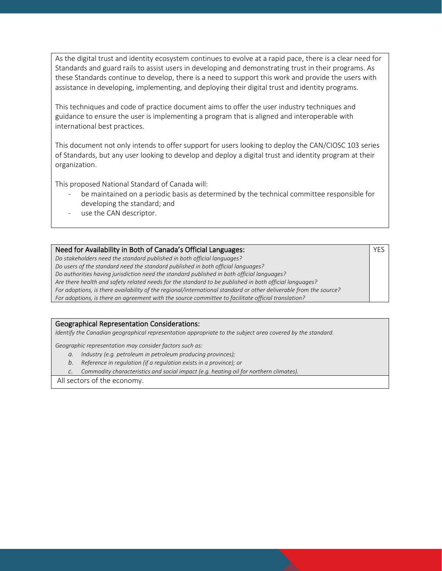As the digital trust and identity ecosystem continues to evolve at a rapid pace, there is a clear need for Standards and guard rails to assist users in developing and demonstrating trust in their programs. As these Standards continue to develop, there is a need to support this work and provide the users with assistance in developing, implementing, and deploying their digital trust and identity programs.

This techniques and code of practice document aims to offer the user industry techniques and guidance to ensure the user is implementing a program that is aligned and interoperable with international best practices.

This document not only intends to offer support for users looking to deploy the CAN/CIOSC 103 series of Standards, but any user looking to develop and deploy a digital trust and identity program at their organization.

This proposed National Standard of Canada will:

be maintained on a periodic basis as determined by the technical committee responsible for developing the standard; and

YES

use the CAN descriptor.

### Need for Availability in Both of Canada's Official Languages:

*Do stakeholders need the standard published in both official languages? Do users of the standard need the standard published in both official languages? Do authorities having jurisdiction need the standard published in both official languages? Are there health and safety related needs for the standard to be published in both official languages? For adoptions, is there availability of the regional/international standard or other deliverable from the source? For adoptions, is there an agreement with the source committee to facilitate official translation?*

#### Geographical Representation Considerations:

*Identify the Canadian geographical representation appropriate to the subject area covered by the standard.*

*Geographic representation may consider factors such as:*

- *a. Industry (e.g. petroleum in petroleum producing provinces);*
- *b. Reference in regulation (if a regulation exists in a province); or*
- *c. Commodity characteristics and social impact (e.g. heating oil for northern climates).*

All sectors of the economy.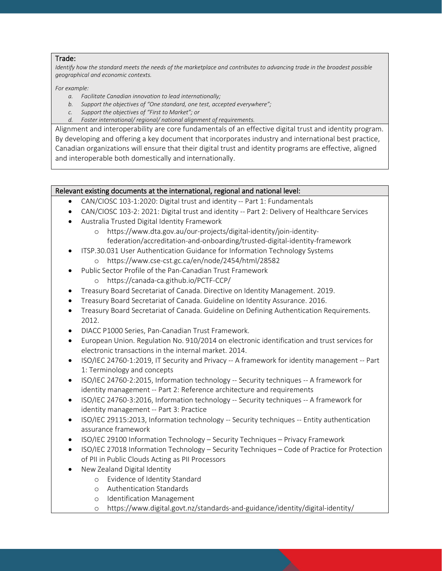### Trade:

*Identify how the standard meets the needs of the marketplace and contributes to advancing trade in the broadest possible geographical and economic contexts.*

#### *For example:*

- *a. Facilitate Canadian innovation to lead internationally;*
- *b. Support the objectives of "One standard, one test, accepted everywhere";*
- *c. Support the objectives of "First to Market"; or*
- *d. Foster international/ regional/ national alignment of requirements.*

Alignment and interoperability are core fundamentals of an effective digital trust and identity program. By developing and offering a key document that incorporates industry and international best practice, Canadian organizations will ensure that their digital trust and identity programs are effective, aligned and interoperable both domestically and internationally.

# Relevant existing documents at the international, regional and national level:

- CAN/CIOSC 103-1:2020: Digital trust and identity -- Part 1: Fundamentals
- CAN/CIOSC 103-2: 2021: Digital trust and identity -- Part 2: Delivery of Healthcare Services
- Australia Trusted Digital Identity Framework
	- o https://www.dta.gov.au/our-projects/digital-identity/join-identityfederation/accreditation-and-onboarding/trusted-digital-identity-framework
- ITSP.30.031 User Authentication Guidance for Information Technology Systems o https://www.cse-cst.gc.ca/en/node/2454/html/28582
- Public Sector Profile of the Pan-Canadian Trust Framework
	- o https://canada-ca.github.io/PCTF-CCP/
- Treasury Board Secretariat of Canada. Directive on Identity Management. 2019.
- Treasury Board Secretariat of Canada. Guideline on Identity Assurance. 2016.
- Treasury Board Secretariat of Canada. Guideline on Defining Authentication Requirements. 2012.
- DIACC P1000 Series, Pan-Canadian Trust Framework.
- European Union. Regulation No. 910/2014 on electronic identification and trust services for electronic transactions in the internal market. 2014.
- ISO/IEC 24760-1:2019, IT Security and Privacy -- A framework for identity management -- Part 1: Terminology and concepts
- ISO/IEC 24760-2:2015, Information technology -- Security techniques -- A framework for identity management -- Part 2: Reference architecture and requirements
- ISO/IEC 24760-3:2016, Information technology -- Security techniques -- A framework for identity management -- Part 3: Practice
- ISO/IEC 29115:2013, Information technology -- Security techniques -- Entity authentication assurance framework
- ISO/IEC 29100 Information Technology Security Techniques Privacy Framework
- ISO/IEC 27018 Information Technology Security Techniques Code of Practice for Protection of PII in Public Clouds Acting as PII Processors
- New Zealand Digital Identity
	- o Evidence of Identity Standard
	- o Authentication Standards
	- o Identification Management
	- o https://www.digital.govt.nz/standards-and-guidance/identity/digital-identity/